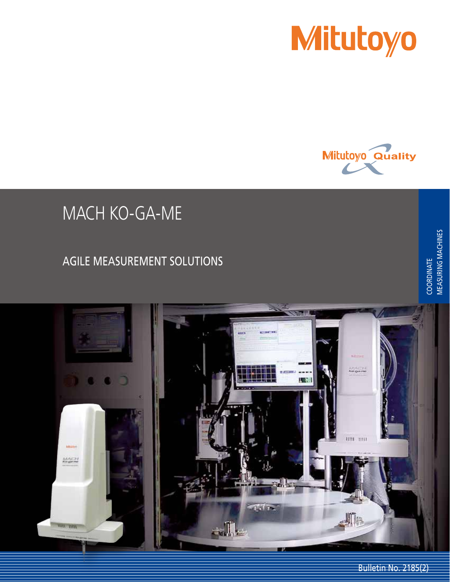



COORDINATE

MEASURING MACHINES

COORDINATE<br>MEASURING MACHINES

## MACH KO-GA-ME

### AGILE MEASUREMENT SOLUTIONS



Bulletin No. 2185(2)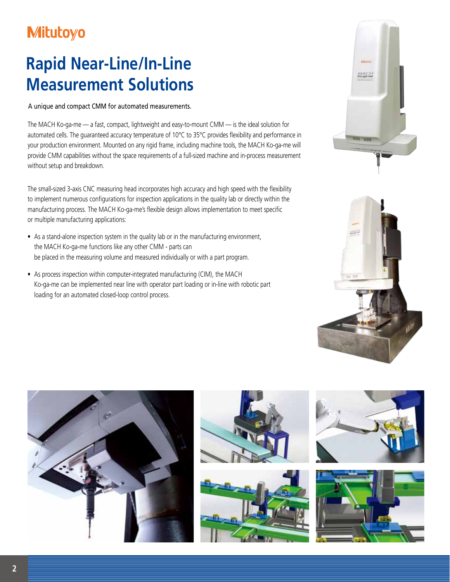## **Rapid Near-Line/In-Line Measurement Solutions**

A unique and compact CMM for automated measurements.

The MACH Ko-ga-me — a fast, compact, lightweight and easy-to-mount CMM — is the ideal solution for automated cells. The guaranteed accuracy temperature of 10°C to 35°C provides flexibility and performance in your production environment. Mounted on any rigid frame, including machine tools, the MACH Ko-ga-me will provide CMM capabilities without the space requirements of a full-sized machine and in-process measurement without setup and breakdown.

The small-sized 3-axis CNC measuring head incorporates high accuracy and high speed with the flexibility to implement numerous configurations for inspection applications in the quality lab or directly within the manufacturing process. The MACH Ko-ga-me's flexible design allows implementation to meet specific or multiple manufacturing applications:

- As a stand-alone inspection system in the quality lab or in the manufacturing environment, the MACH Ko-ga-me functions like any other CMM - parts can be placed in the measuring volume and measured individually or with a part program.
- As process inspection within computer-integrated manufacturing (CIM), the MACH Ko-ga-me can be implemented near line with operator part loading or in-line with robotic part loading for an automated closed-loop control process.





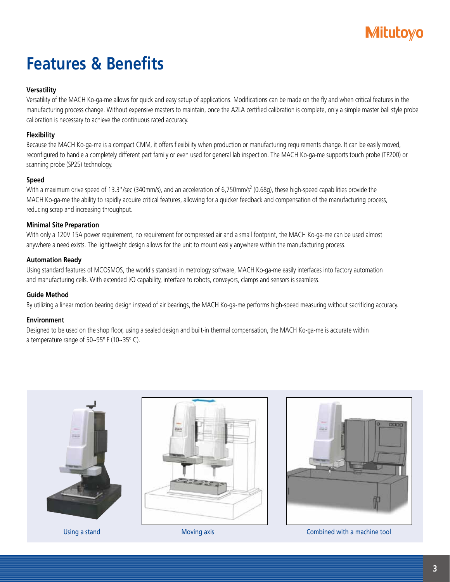## **Features & Benefits**

### **Versatility**

Versatility of the MACH Ko-ga-me allows for quick and easy setup of applications. Modifications can be made on the fly and when critical features in the manufacturing process change. Without expensive masters to maintain, once the A2LA certified calibration is complete, only a simple master ball style probe calibration is necessary to achieve the continuous rated accuracy.

#### **Flexibility**

Because the MACH Ko-ga-me is a compact CMM, it offers flexibility when production or manufacturing requirements change. It can be easily moved, reconfigured to handle a completely different part family or even used for general lab inspection. The MACH Ko-ga-me supports touch probe (TP200) or scanning probe (SP25) technology.

#### **Speed**

With a maximum drive speed of 13.3"/sec (340mm/s), and an acceleration of 6,750mm/s<sup>2</sup> (0.68g), these high-speed capabilities provide the MACH Ko-ga-me the ability to rapidly acquire critical features, allowing for a quicker feedback and compensation of the manufacturing process, reducing scrap and increasing throughput.

### **Minimal Site Preparation**

With only a 120V 15A power requirement, no requirement for compressed air and a small footprint, the MACH Ko-ga-me can be used almost anywhere a need exists. The lightweight design allows for the unit to mount easily anywhere within the manufacturing process.

#### **Automation Ready**

Using standard features of MCOSMOS, the world's standard in metrology software, MACH Ko-ga-me easily interfaces into factory automation and manufacturing cells. With extended I/O capability, interface to robots, conveyors, clamps and sensors is seamless.

### **Guide Method**

By utilizing a linear motion bearing design instead of air bearings, the MACH Ko-ga-me performs high-speed measuring without sacrificing accuracy.

### **Environment**

Designed to be used on the shop floor, using a sealed design and built-in thermal compensation, the MACH Ko-ga-me is accurate within a temperature range of 50~95º F (10~35º C).







Using a stand Moving axis Combined with a machine tool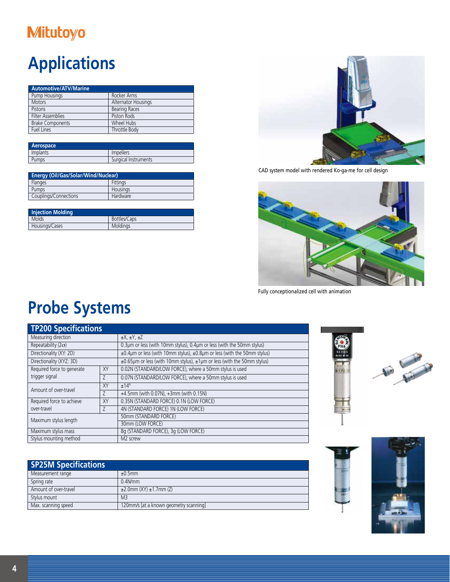## **Applications**

| Automotive/ATV/Marine    |                      |
|--------------------------|----------------------|
| Pump Housings            | Rocker Arms          |
| <b>Motors</b>            | Alternator Housings  |
| Pistons                  | <b>Bearing Races</b> |
| <b>Filter Assemblies</b> | Piston Rods          |
| <b>Brake Components</b>  | Wheel Hubs           |
| <b>Fuel Lines</b>        | Throttle Body        |

| Aerospace |                      |
|-----------|----------------------|
| Implants  | Impellers            |
| Pumps     | Surgical Instruments |

| <b>Energy (Oil/Gas/Solar/Wind/Nuclear)</b> |          |
|--------------------------------------------|----------|
| Flanges                                    | Fittinas |
| Pumps                                      | Housings |
| Couplings/Connections                      | Hardware |

| <b>Iniection Molding</b> |              |
|--------------------------|--------------|
| Molds                    | Bottles/Caps |
| Housings/Cases           | Moldings     |



CAD system model with rendered Ko-ga-me for cell design



Fully conceptionalized cell with animation

## **Probe Systems**

| <b>TP200 Specifications</b> |           |                                                                          |
|-----------------------------|-----------|--------------------------------------------------------------------------|
| Measuring direction         |           | $\pm X$ , $\pm Y$ , $\pm Z$                                              |
| Repeatability $(2\sigma)$   |           | 0.3µm or less (with 10mm stylus), 0.4µm or less (with the 50mm stylus)   |
| Directionality (XY: 2D)     |           | ±0.4µm or less (with 10mm stylus), ±0.8µm or less (with the 50mm stylus) |
| Directionality (XYZ: 3D)    |           | ±0.65µm or less (with 10mm stylus), ±1µm or less (with the 50mm stylus)  |
| Required force to generate  | <b>XY</b> | 0.02N (STANDARD/LOW FORCE), where a 50mm stylus is used                  |
| trigger signal              | Ζ         | 0.07N (STANDARD/LOW FORCE), where a 50mm stylus is used                  |
| Amount of over-travel       | XY        | $±14^{\circ}$                                                            |
|                             | Z         | +4.5mm (with 0.07N), +3mm (with 0.15N)                                   |
| Required force to achieve   | XY        | 0.35N (STANDARD FORCE) 0.1N (LOW FORCE)                                  |
| over-travel                 | Ζ         | 4N (STANDARD FORCE) 1N (LOW FORCE)                                       |
| Maximum stylus length       |           | 50mm (STANDARD FORCE)                                                    |
|                             |           | 30mm (LOW FORCE)                                                         |
| Maximum stylus mass         |           | 8q (STANDARD FORCE), 3q (LOW FORCE)                                      |
| Stylus mounting method      |           | M2 screw                                                                 |

| <b>SP25M Specifications</b> |                                        |
|-----------------------------|----------------------------------------|
| Measurement range           | ±0.5mm                                 |
| Spring rate                 | 0.4N/mm                                |
| Amount of over-travel       | $\pm 2.0$ mm (XY) $\pm 1.7$ mm (Z)     |
| Stylus mount                | M <sub>3</sub>                         |
| Max. scanning speed         | 120mm/s [at a known geometry scanning] |





And Contract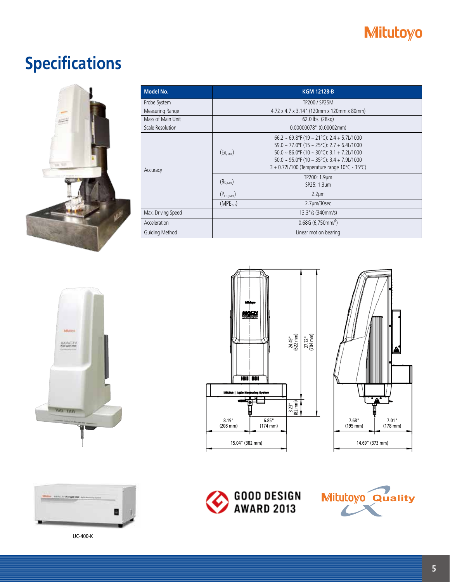

### **Specifications**



| Model No.          | <b>KGM 12128-B</b>                                                                                                                                                                                                                                                                                     |
|--------------------|--------------------------------------------------------------------------------------------------------------------------------------------------------------------------------------------------------------------------------------------------------------------------------------------------------|
| Probe System       | TP200 / SP25M                                                                                                                                                                                                                                                                                          |
| Measuring Range    | 4.72 x 4.7 x 3.14" (120mm x 120mm x 80mm)                                                                                                                                                                                                                                                              |
| Mass of Main Unit  | 62.0 lbs. (28kg)                                                                                                                                                                                                                                                                                       |
| Scale Resolution   | $0.00000078$ " (0.00002mm)                                                                                                                                                                                                                                                                             |
| Accuracy           | $66.2 \sim 69.8$ °F (19 ~ 21°C): 2.4 + 5.7L/1000<br>$59.0 \sim 77.0$ °F (15 ~ 25°C): 2.7 + 6.4L/1000<br>$(E_{0, \text{MPF}})$<br>$50.0 \sim 86.0$ °F (10 ~ 30°C): 3.1 + 7.2L/1000<br>$50.0 \sim 95.0$ °F (10 ~ 35°C): 3.4 + 7.9L/1000<br>3 + 0.72L/100 (Temperature range 10°C - 35°C)<br>TP200: 1.9µm |
|                    | $(R_{0,mPL})$<br>SP25: 1.3µm                                                                                                                                                                                                                                                                           |
|                    | $2.2 \mu m$<br>$(P_{FTU,MPE})$                                                                                                                                                                                                                                                                         |
|                    | 2.7µm/30sec<br>(MPE <sub>THP</sub> )                                                                                                                                                                                                                                                                   |
| Max. Driving Speed | 13.3"/s (340mm/s)                                                                                                                                                                                                                                                                                      |
| Acceleration       | $0.68G(6.750mm)^2$ )                                                                                                                                                                                                                                                                                   |
| Guiding Method     | Linear motion bearing                                                                                                                                                                                                                                                                                  |









UC-400-K



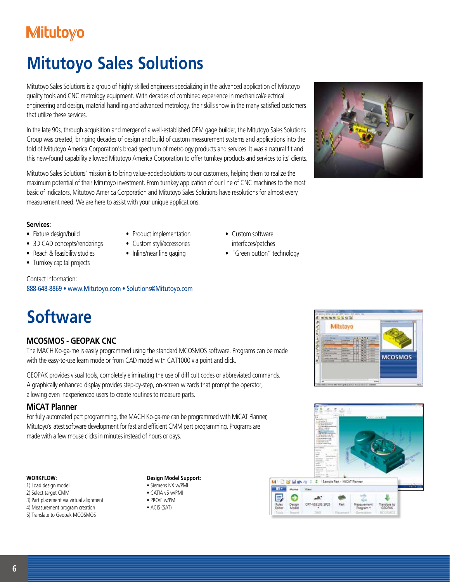## **Mitutoyo Sales Solutions**

Mitutoyo Sales Solutions is a group of highly skilled engineers specializing in the advanced application of Mitutoyo quality tools and CNC metrology equipment. With decades of combined experience in mechanical/electrical engineering and design, material handling and advanced metrology, their skills show in the many satisfied customers that utilize these services.

In the late 90s, through acquisition and merger of a well-established OEM gage builder, the Mitutoyo Sales Solutions Group was created, bringing decades of design and build of custom measurement systems and applications into the fold of Mitutoyo America Corporation's broad spectrum of metrology products and services. It was a natural fit and this new-found capability allowed Mitutoyo America Corporation to offer turnkey products and services to its' clients.

Mitutoyo Sales Solutions' mission is to bring value-added solutions to our customers, helping them to realize the maximum potential of their Mitutoyo investment. From turnkey application of our line of CNC machines to the most basic of indicators, Mitutoyo America Corporation and Mitutoyo Sales Solutions have resolutions for almost every measurement need. We are here to assist with your unique applications.

> • Product implementation • Custom styli/accessories

### **Services:**

- Fixture design/build
- 3D CAD concepts/renderings
- Reach & feasibility studies
- Turnkey capital projects

Contact Information:

888-648-8869 • www.Mitutoyo.com • Solutions@Mitutoyo.com

interfaces/patches • "Green button" technology

• Custom software

• Inline/near line gaging







## **Software**

### **MCOSMOS - GEOPAK CNC**

The MACH Ko-ga-me is easily programmed using the standard MCOSMOS software. Programs can be made with the easy-to-use learn mode or from CAD model with CAT1000 via point and click.

GEOPAK provides visual tools, completely eliminating the use of difficult codes or abbreviated commands. A graphically enhanced display provides step-by-step, on-screen wizards that prompt the operator, allowing even inexperienced users to create routines to measure parts.

### **MiCAT Planner**

For fully automated part programming, the MACH Ko-ga-me can be programmed with MiCAT Planner, Mitutoyo's latest software development for fast and efficient CMM part programming. Programs are made with a few mouse clicks in minutes instead of hours or days.

#### **WORKFLOW:**

- 1) Load design model 2) Select target CMM 3) Part placement via virtual alignment 4) Measurement program creation
- 5) Translate to Geopak MCOSMOS

### **Design Model Support:**

- Siemens NX w/PMI
- 
- PRO/E w/PMI
- ACIS (SAT)
- 
- 
- 
- 
- CATIA v5 w/PMI

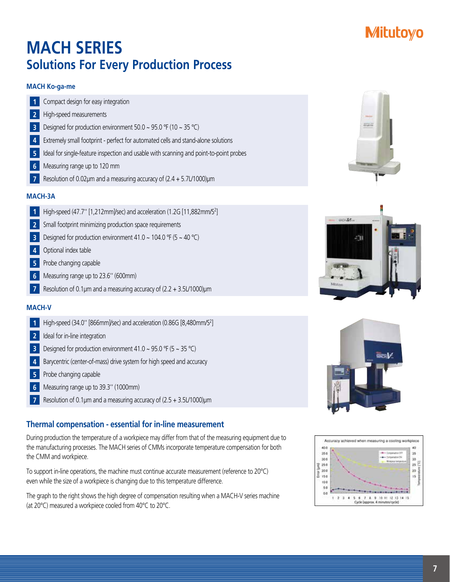### **MACH SERIES Solutions For Every Production Process**

### **MACH Ko-ga-me**

- **1** Compact design for easy integration
- **2** High-speed measurements
- **3** Designed for production environment 50.0 ~ 95.0 °F (10 ~ 35 °C)
- **4** Extremely small footprint perfect for automated cells and stand-alone solutions
- **5** Ideal for single-feature inspection and usable with scanning and point-to-point probes
- **6** Measuring range up to 120 mm
- **7** Resolution of 0.02μm and a measuring accuracy of (2.4 + 5.7L/1000)μm

#### **MACH-3A**

- **1** High-speed (47.7" [1,212mm]/sec) and acceleration (1.2G [11,882mm/S<sup>2</sup>]
- **2** Small footprint minimizing production space requirements
- **3** Designed for production environment 41.0 ~ 104.0 °F (5 ~ 40 °C)
- **4** Optional index table
- **5** Probe changing capable
- **6** Measuring range up to 23.6" (600mm)
- **7** Resolution of 0.1μm and a measuring accuracy of (2.2 + 3.5L/1000)μm

### **MACH-V**

- **1** High-speed (34.0" [866mm]/sec) and acceleration (0.86G [8,480mm/S<sup>2</sup>]
- **2** Ideal for in-line integration
- **3** Designed for production environment 41.0 ~ 95.0 °F (5 ~ 35 °C)
- **4** Barycentric (center-of-mass) drive system for high speed and accuracy
- **5** Probe changing capable
- **6** Measuring range up to 39.3" (1000mm)
- **7** Resolution of 0.1μm and a measuring accuracy of (2.5 + 3.5L/1000)μm

### **Thermal compensation - essential for in-line measurement**

During production the temperature of a workpiece may differ from that of the measuring equipment due to the manufacturing processes. The MACH series of CMMs incorporate temperature compensation for both the CMM and workpiece.

To support in-line operations, the machine must continue accurate measurement (reference to 20°C) even while the size of a workpiece is changing due to this temperature difference.

The graph to the right shows the high degree of compensation resulting when a MACH-V series machine (at 20°C) measured a workpiece cooled from 40°C to 20°C.